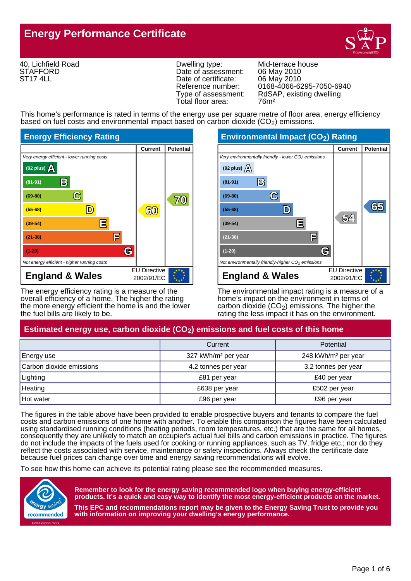# **Energy Performance Certificate**



40, Lichfield Road **STAFFORD** ST17 4LL

Dwelling type: Mid-terrace house<br>Date of assessment: 06 May 2010 Date of assessment: 06 May 2010<br>Date of certificate: 06 May 2010 Date of certificate: Total floor area: 76m<sup>2</sup>

Reference number: 0168-4066-6295-7050-6940<br>Type of assessment: RdSAP, existing dwelling RdSAP, existing dwelling

This home's performance is rated in terms of the energy use per square metre of floor area, energy efficiency based on fuel costs and environmental impact based on carbon dioxide (CO<sub>2</sub>) emissions.



The energy efficiency rating is a measure of the overall efficiency of a home. The higher the rating the more energy efficient the home is and the lower the fuel bills are likely to be.

EU Directive **England & Wales** 2002/91/EC **Current Potential** Very environmentally friendly - lower CO<sub>2</sub> emissions Not environmentally friendly-higher  $CO<sub>2</sub>$  emissions **(92 plus) A (81-91) (69-80) (55-68) (39-54) (21-38) (1-20) B B C C D D E E F F G G 54 54 65 65**

The environmental impact rating is a measure of a home's impact on the environment in terms of carbon dioxide  $(CO<sub>2</sub>)$  emissions. The higher the rating the less impact it has on the environment.

# Estimated energy use, carbon dioxide (CO<sub>2</sub>) emissions and fuel costs of this home

|                          | Current                         | Potential                       |
|--------------------------|---------------------------------|---------------------------------|
| Energy use               | 327 kWh/m <sup>2</sup> per year | 248 kWh/m <sup>2</sup> per year |
| Carbon dioxide emissions | 4.2 tonnes per year             | 3.2 tonnes per year             |
| Lighting                 | £81 per year                    | £40 per year                    |
| Heating                  | £638 per year                   | £502 per year                   |
| <b>Hot water</b>         | £96 per year                    | £96 per year                    |

The figures in the table above have been provided to enable prospective buyers and tenants to compare the fuel costs and carbon emissions of one home with another. To enable this comparison the figures have been calculated using standardised running conditions (heating periods, room temperatures, etc.) that are the same for all homes, consequently they are unlikely to match an occupier's actual fuel bills and carbon emissions in practice. The figures do not include the impacts of the fuels used for cooking or running appliances, such as TV, fridge etc.; nor do they reflect the costs associated with service, maintenance or safety inspections. Always check the certificate date because fuel prices can change over time and energy saving recommendations will evolve.

To see how this home can achieve its potential rating please see the recommended measures.



**Remember to look for the energy saving recommended logo when buying energy-efficient products. It's a quick and easy way to identify the most energy-efficient products on the market.**

**This EPC and recommendations report may be given to the Energy Saving Trust to provide you with information on improving your dwelling's energy performance.**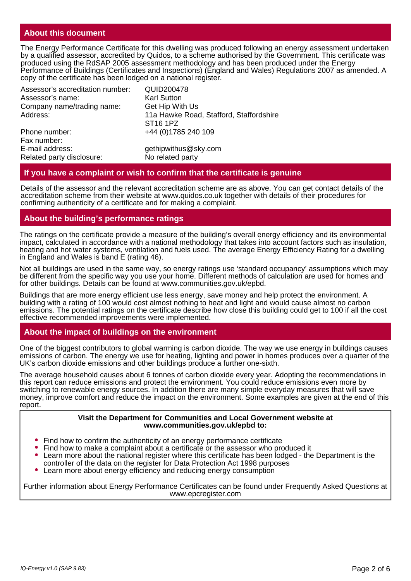# **About this document**

The Energy Performance Certificate for this dwelling was produced following an energy assessment undertaken by a qualified assessor, accredited by Quidos, to a scheme authorised by the Government. This certificate was produced using the RdSAP 2005 assessment methodology and has been produced under the Energy Performance of Buildings (Certificates and Inspections) (England and Wales) Regulations 2007 as amended. A copy of the certificate has been lodged on a national register.

| Assessor's accreditation number: | <b>QUID200478</b>                       |
|----------------------------------|-----------------------------------------|
| Assessor's name:                 | <b>Karl Sutton</b>                      |
| Company name/trading name:       | Get Hip With Us                         |
| Address:                         | 11a Hawke Road, Stafford, Staffordshire |
|                                  | ST <sub>16</sub> 1PZ                    |
| Phone number:                    | +44 (0) 1785 240 109                    |
| Fax number:                      |                                         |
| E-mail address:                  | gethipwithus@sky.com                    |
| Related party disclosure:        | No related party                        |

#### **If you have a complaint or wish to confirm that the certificate is genuine**

Details of the assessor and the relevant accreditation scheme are as above. You can get contact details of the accreditation scheme from their website at www.quidos.co.uk together with details of their procedures for confirming authenticity of a certificate and for making a complaint.

### **About the building's performance ratings**

The ratings on the certificate provide a measure of the building's overall energy efficiency and its environmental impact, calculated in accordance with a national methodology that takes into account factors such as insulation, heating and hot water systems, ventilation and fuels used. The average Energy Efficiency Rating for a dwelling in England and Wales is band E (rating 46).

Not all buildings are used in the same way, so energy ratings use 'standard occupancy' assumptions which may be different from the specific way you use your home. Different methods of calculation are used for homes and for other buildings. Details can be found at www.communities.gov.uk/epbd.

Buildings that are more energy efficient use less energy, save money and help protect the environment. A building with a rating of 100 would cost almost nothing to heat and light and would cause almost no carbon emissions. The potential ratings on the certificate describe how close this building could get to 100 if all the cost effective recommended improvements were implemented.

#### **About the impact of buildings on the environment**

One of the biggest contributors to global warming is carbon dioxide. The way we use energy in buildings causes emissions of carbon. The energy we use for heating, lighting and power in homes produces over a quarter of the UK's carbon dioxide emissions and other buildings produce a further one-sixth.

The average household causes about 6 tonnes of carbon dioxide every year. Adopting the recommendations in this report can reduce emissions and protect the environment. You could reduce emissions even more by switching to renewable energy sources. In addition there are many simple everyday measures that will save money, improve comfort and reduce the impact on the environment. Some examples are given at the end of this report.

#### **Visit the Department for Communities and Local Government website at www.communities.gov.uk/epbd to:**

- Find how to confirm the authenticity of an energy performance certificate
- Find how to make a complaint about a certificate or the assessor who produced it
- Learn more about the national register where this certificate has been lodged the Department is the controller of the data on the register for Data Protection Act 1998 purposes
- Learn more about energy efficiency and reducing energy consumption

Further information about Energy Performance Certificates can be found under Frequently Asked Questions at www.epcregister.com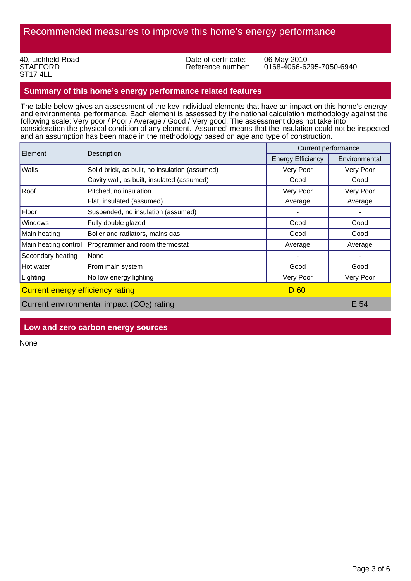40, Lichfield Road **STAFFORD** ST17 4LL

Date of certificate: 06 May 2010<br>Reference number: 0168-4066-62

0168-4066-6295-7050-6940

# **Summary of this home's energy performance related features**

The table below gives an assessment of the key individual elements that have an impact on this home's energy and environmental performance. Each element is assessed by the national calculation methodology against the following scale: Very poor / Poor / Average / Good / Very good. The assessment does not take into consideration the physical condition of any element. 'Assumed' means that the insulation could not be inspected and an assumption has been made in the methodology based on age and type of construction.

| Element                                 |                                                        | Current performance      |               |
|-----------------------------------------|--------------------------------------------------------|--------------------------|---------------|
|                                         | Description                                            | <b>Energy Efficiency</b> | Environmental |
| Walls                                   | Solid brick, as built, no insulation (assumed)         | Very Poor                | Very Poor     |
|                                         | Cavity wall, as built, insulated (assumed)             | Good                     | Good          |
| Roof                                    | Pitched, no insulation                                 | Very Poor                | Very Poor     |
|                                         | Flat, insulated (assumed)                              | Average                  | Average       |
| Floor                                   | Suspended, no insulation (assumed)                     |                          |               |
| Windows                                 | Fully double glazed                                    | Good                     | Good          |
| Main heating                            | Boiler and radiators, mains gas                        | Good                     | Good          |
| Main heating control                    | Programmer and room thermostat                         | Average                  | Average       |
| Secondary heating                       | None                                                   |                          |               |
| Hot water                               | From main system                                       | Good                     | Good          |
| Lighting                                | No low energy lighting                                 | Very Poor                | Very Poor     |
| <b>Current energy efficiency rating</b> |                                                        | D 60                     |               |
|                                         | Current environmental impact (CO <sub>2</sub> ) rating |                          | E 54          |

# **Low and zero carbon energy sources**

None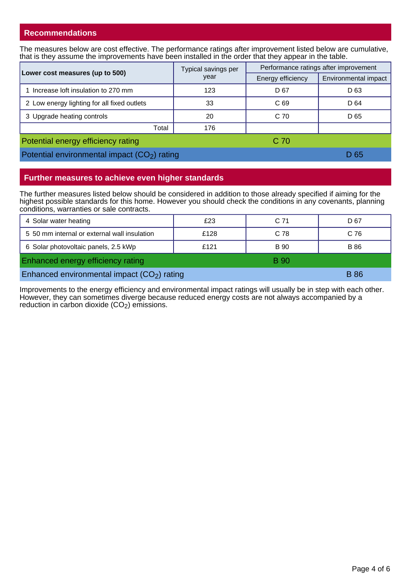# **Recommendations**

The measures below are cost effective. The performance ratings after improvement listed below are cumulative, that is they assume the improvements have been installed in the order that they appear in the table.

| Lower cost measures (up to 500)                          | Typical savings per<br>year | Performance ratings after improvement |                      |
|----------------------------------------------------------|-----------------------------|---------------------------------------|----------------------|
|                                                          |                             | Energy efficiency                     | Environmental impact |
| Increase loft insulation to 270 mm                       | 123                         | D <sub>67</sub>                       | D <sub>63</sub>      |
| 2 Low energy lighting for all fixed outlets              | 33                          | C <sub>69</sub>                       | D 64                 |
| 3 Upgrade heating controls                               | 20                          | C 70                                  | D 65                 |
| Total                                                    | 176                         |                                       |                      |
| Potential energy efficiency rating                       |                             | C 70                                  |                      |
| Potential environmental impact (CO <sub>2</sub> ) rating |                             |                                       | D 65                 |

# **Further measures to achieve even higher standards**

The further measures listed below should be considered in addition to those already specified if aiming for the highest possible standards for this home. However you should check the conditions in any covenants, planning conditions, warranties or sale contracts.

| 4 Solar water heating                        | £23  | C 71        | D 67        |
|----------------------------------------------|------|-------------|-------------|
| 5 50 mm internal or external wall insulation | £128 | C 78        | C 76        |
| 6 Solar photovoltaic panels, 2.5 kWp         | £121 | B 90        | B 86        |
| Enhanced energy efficiency rating            |      | <b>B</b> 90 |             |
| Enhanced environmental impact $(CO2)$ rating |      |             | <b>B</b> 86 |

Improvements to the energy efficiency and environmental impact ratings will usually be in step with each other. However, they can sometimes diverge because reduced energy costs are not always accompanied by a reduction in carbon dioxide  $(CO<sub>2</sub>)$  emissions.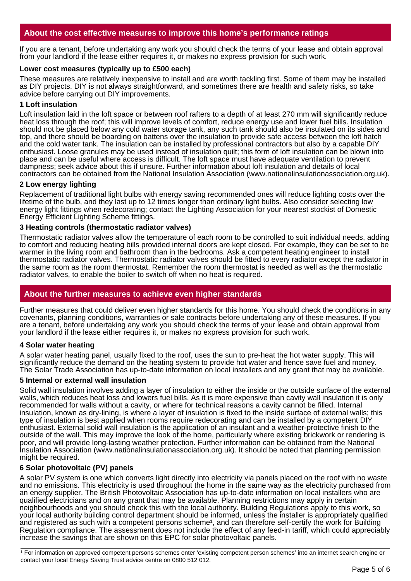# **About the cost effective measures to improve this home's performance ratings**

If you are a tenant, before undertaking any work you should check the terms of your lease and obtain approval from your landlord if the lease either requires it, or makes no express provision for such work.

#### **Lower cost measures (typically up to £500 each)**

These measures are relatively inexpensive to install and are worth tackling first. Some of them may be installed as DIY projects. DIY is not always straightforward, and sometimes there are health and safety risks, so take advice before carrying out DIY improvements.

#### **1 Loft insulation**

Loft insulation laid in the loft space or between roof rafters to a depth of at least 270 mm will significantly reduce heat loss through the roof; this will improve levels of comfort, reduce energy use and lower fuel bills. Insulation should not be placed below any cold water storage tank, any such tank should also be insulated on its sides and top, and there should be boarding on battens over the insulation to provide safe access between the loft hatch and the cold water tank. The insulation can be installed by professional contractors but also by a capable DIY enthusiast. Loose granules may be used instead of insulation quilt; this form of loft insulation can be blown into place and can be useful where access is difficult. The loft space must have adequate ventilation to prevent dampness; seek advice about this if unsure. Further information about loft insulation and details of local contractors can be obtained from the National Insulation Association (www.nationalinsulationassociation.org.uk).

### **2 Low energy lighting**

Replacement of traditional light bulbs with energy saving recommended ones will reduce lighting costs over the lifetime of the bulb, and they last up to 12 times longer than ordinary light bulbs. Also consider selecting low energy light fittings when redecorating; contact the Lighting Association for your nearest stockist of Domestic Energy Efficient Lighting Scheme fittings.

### **3 Heating controls (thermostatic radiator valves)**

Thermostatic radiator valves allow the temperature of each room to be controlled to suit individual needs, adding to comfort and reducing heating bills provided internal doors are kept closed. For example, they can be set to be warmer in the living room and bathroom than in the bedrooms. Ask a competent heating engineer to install thermostatic radiator valves. Thermostatic radiator valves should be fitted to every radiator except the radiator in the same room as the room thermostat. Remember the room thermostat is needed as well as the thermostatic radiator valves, to enable the boiler to switch off when no heat is required.

# **About the further measures to achieve even higher standards**

Further measures that could deliver even higher standards for this home. You should check the conditions in any covenants, planning conditions, warranties or sale contracts before undertaking any of these measures. If you are a tenant, before undertaking any work you should check the terms of your lease and obtain approval from your landlord if the lease either requires it, or makes no express provision for such work.

#### **4 Solar water heating**

A solar water heating panel, usually fixed to the roof, uses the sun to pre-heat the hot water supply. This will significantly reduce the demand on the heating system to provide hot water and hence save fuel and money. The Solar Trade Association has up-to-date information on local installers and any grant that may be available.

#### **5 Internal or external wall insulation**

Solid wall insulation involves adding a layer of insulation to either the inside or the outside surface of the external walls, which reduces heat loss and lowers fuel bills. As it is more expensive than cavity wall insulation it is only recommended for walls without a cavity, or where for technical reasons a cavity cannot be filled. Internal insulation, known as dry-lining, is where a layer of insulation is fixed to the inside surface of external walls; this type of insulation is best applied when rooms require redecorating and can be installed by a competent DIY enthusiast. External solid wall insulation is the application of an insulant and a weather-protective finish to the outside of the wall. This may improve the look of the home, particularly where existing brickwork or rendering is poor, and will provide long-lasting weather protection. Further information can be obtained from the National Insulation Association (www.nationalinsulationassociation.org.uk). It should be noted that planning permission might be required.

# **6 Solar photovoltaic (PV) panels**

A solar PV system is one which converts light directly into electricity via panels placed on the roof with no waste and no emissions. This electricity is used throughout the home in the same way as the electricity purchased from an energy supplier. The British Photovoltaic Association has up-to-date information on local installers who are qualified electricians and on any grant that may be available. Planning restrictions may apply in certain neighbourhoods and you should check this with the local authority. Building Regulations apply to this work, so your local authority building control department should be informed, unless the installer is appropriately qualified and registered as such with a competent persons scheme<sup>1</sup>, and can therefore self-certify the work for Building Regulation compliance. The assessment does not include the effect of any feed-in tariff, which could appreciably increase the savings that are shown on this EPC for solar photovoltaic panels.

<sup>1</sup> For information on approved competent persons schemes enter 'existing competent person schemes' into an internet search engine or contact your local Energy Saving Trust advice centre on 0800 512 012.